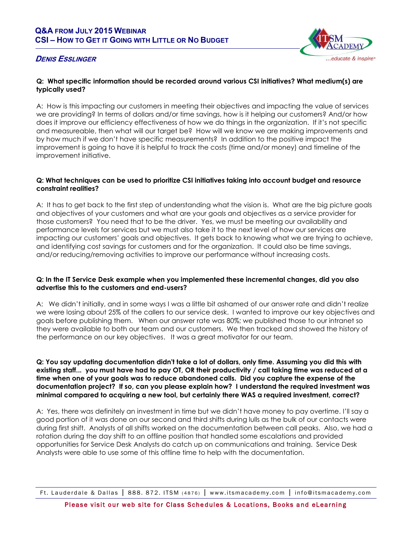



# **Q: What specific information should be recorded around various CSI initiatives? What medium(s) are typically used?**

A: How is this impacting our customers in meeting their objectives and impacting the value of services we are providing? In terms of dollars and/or time savings, how is it helping our customers? And/or how does it improve our efficiency effectiveness of how we do things in the organization. If it's not specific and measureable, then what will our target be? How will we know we are making improvements and by how much if we don't have specific measurements? In addition to the positive impact the improvement is going to have it is helpful to track the costs (time and/or money) and timeline of the improvement initiative.

## **Q: What techniques can be used to prioritize CSI initiatives taking into account budget and resource constraint realities?**

A: It has to get back to the first step of understanding what the vision is. What are the big picture goals and objectives of your customers and what are your goals and objectives as a service provider for those customers? You need that to be the driver. Yes, we must be meeting our availability and performance levels for services but we must also take it to the next level of how our services are impacting our customers' goals and objectives. It gets back to knowing what we are trying to achieve, and identifying cost savings for customers and for the organization. It could also be time savings, and/or reducing/removing activities to improve our performance without increasing costs.

## **Q: In the IT Service Desk example when you implemented these incremental changes, did you also advertise this to the customers and end-users?**

A: We didn't initially, and in some ways I was a little bit ashamed of our answer rate and didn't realize we were losing about 25% of the callers to our service desk. I wanted to improve our key objectives and goals before publishing them. When our answer rate was 80%; we published those to our intranet so they were available to both our team and our customers. We then tracked and showed the history of the performance on our key objectives. It was a great motivator for our team.

### **Q: You say updating documentation didn't take a lot of dollars, only time. Assuming you did this with existing staff... you must have had to pay OT, OR their productivity / call taking time was reduced at a time when one of your goals was to reduce abandoned calls. Did you capture the expense of the documentation project? If so, can you please explain how? I understand the required investment was minimal compared to acquiring a new tool, but certainly there WAS a required investment, correct?**

A: Yes, there was definitely an investment in time but we didn't have money to pay overtime. I'll say a good portion of it was done on our second and third shifts during lulls as the bulk of our contacts were during first shift. Analysts of all shifts worked on the documentation between call peaks. Also, we had a rotation during the day shift to an offline position that handled some escalations and provided opportunities for Service Desk Analysts do catch up on communications and training. Service Desk Analysts were able to use some of this offline time to help with the documentation.

Ft. Lauderdale & Dallas | 888. 872. ITSM (4876) | www.itsmacademy.com | info@itsmacademy.com